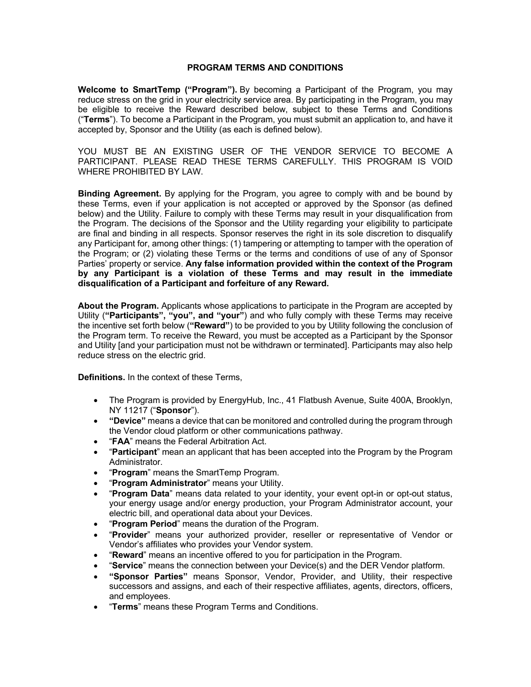## **PROGRAM TERMS AND CONDITIONS**

**Welcome to SmartTemp ("Program").** By becoming a Participant of the Program, you may reduce stress on the grid in your electricity service area. By participating in the Program, you may be eligible to receive the Reward described below, subject to these Terms and Conditions ("**Terms**"). To become a Participant in the Program, you must submit an application to, and have it accepted by, Sponsor and the Utility (as each is defined below).

YOU MUST BE AN EXISTING USER OF THE VENDOR SERVICE TO BECOME A PARTICIPANT. PLEASE READ THESE TERMS CAREFULLY. THIS PROGRAM IS VOID WHERE PROHIBITED BY LAW.

**Binding Agreement.** By applying for the Program, you agree to comply with and be bound by these Terms, even if your application is not accepted or approved by the Sponsor (as defined below) and the Utility. Failure to comply with these Terms may result in your disqualification from the Program. The decisions of the Sponsor and the Utility regarding your eligibility to participate are final and binding in all respects. Sponsor reserves the right in its sole discretion to disqualify any Participant for, among other things: (1) tampering or attempting to tamper with the operation of the Program; or (2) violating these Terms or the terms and conditions of use of any of Sponsor Parties' property or service. **Any false information provided within the context of the Program by any Participant is a violation of these Terms and may result in the immediate disqualification of a Participant and forfeiture of any Reward.**

**About the Program.** Applicants whose applications to participate in the Program are accepted by Utility (**"Participants", "you", and "your"**) and who fully comply with these Terms may receive the incentive set forth below (**"Reward"**) to be provided to you by Utility following the conclusion of the Program term. To receive the Reward, you must be accepted as a Participant by the Sponsor and Utility [and your participation must not be withdrawn or terminated]. Participants may also help reduce stress on the electric grid.

**Definitions.** In the context of these Terms,

- The Program is provided by EnergyHub, Inc., 41 Flatbush Avenue, Suite 400A, Brooklyn, NY 11217 ("**Sponsor**").
- **"Device"** means a device that can be monitored and controlled during the program through the Vendor cloud platform or other communications pathway.
- "**FAA**" means the Federal Arbitration Act.
- "**Participant**" mean an applicant that has been accepted into the Program by the Program Administrator.
- "**Program**" means the SmartTemp Program.
- "**Program Administrator**" means your Utility.
- "**Program Data**" means data related to your identity, your event opt-in or opt-out status, your energy usage and/or energy production, your Program Administrator account, your electric bill, and operational data about your Devices.
- "**Program Period**" means the duration of the Program.
- "**Provider**" means your authorized provider, reseller or representative of Vendor or Vendor's affiliates who provides your Vendor system.
- "**Reward**" means an incentive offered to you for participation in the Program.
- "**Service**" means the connection between your Device(s) and the DER Vendor platform.
- **"Sponsor Parties"** means Sponsor, Vendor, Provider, and Utility, their respective successors and assigns, and each of their respective affiliates, agents, directors, officers, and employees.
- "**Terms**" means these Program Terms and Conditions.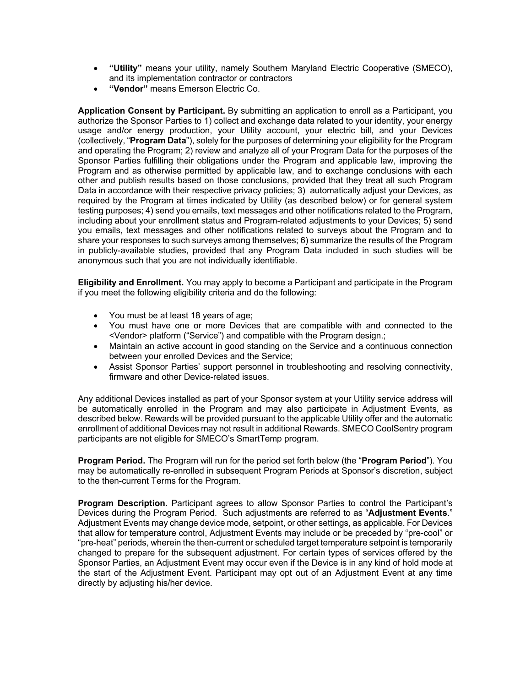- **"Utility"** means your utility, namely Southern Maryland Electric Cooperative (SMECO), and its implementation contractor or contractors
- **"Vendor"** means Emerson Electric Co.

**Application Consent by Participant.** By submitting an application to enroll as a Participant, you authorize the Sponsor Parties to 1) collect and exchange data related to your identity, your energy usage and/or energy production, your Utility account, your electric bill, and your Devices (collectively, "**Program Data**"), solely for the purposes of determining your eligibility for the Program and operating the Program; 2) review and analyze all of your Program Data for the purposes of the Sponsor Parties fulfilling their obligations under the Program and applicable law, improving the Program and as otherwise permitted by applicable law, and to exchange conclusions with each other and publish results based on those conclusions, provided that they treat all such Program Data in accordance with their respective privacy policies; 3) automatically adjust your Devices, as required by the Program at times indicated by Utility (as described below) or for general system testing purposes; 4) send you emails, text messages and other notifications related to the Program, including about your enrollment status and Program-related adjustments to your Devices; 5) send you emails, text messages and other notifications related to surveys about the Program and to share your responses to such surveys among themselves; 6) summarize the results of the Program in publicly-available studies, provided that any Program Data included in such studies will be anonymous such that you are not individually identifiable.

**Eligibility and Enrollment.** You may apply to become a Participant and participate in the Program if you meet the following eligibility criteria and do the following:

- You must be at least 18 years of age;
- You must have one or more Devices that are compatible with and connected to the <Vendor> platform ("Service") and compatible with the Program design.;
- Maintain an active account in good standing on the Service and a continuous connection between your enrolled Devices and the Service;
- Assist Sponsor Parties' support personnel in troubleshooting and resolving connectivity, firmware and other Device-related issues.

Any additional Devices installed as part of your Sponsor system at your Utility service address will be automatically enrolled in the Program and may also participate in Adjustment Events, as described below. Rewards will be provided pursuant to the applicable Utility offer and the automatic enrollment of additional Devices may not result in additional Rewards. SMECO CoolSentry program participants are not eligible for SMECO's SmartTemp program.

**Program Period.** The Program will run for the period set forth below (the "**Program Period**"). You may be automatically re-enrolled in subsequent Program Periods at Sponsor's discretion, subject to the then-current Terms for the Program.

**Program Description.** Participant agrees to allow Sponsor Parties to control the Participant's Devices during the Program Period. Such adjustments are referred to as "**Adjustment Events**." Adjustment Events may change device mode, setpoint, or other settings, as applicable. For Devices that allow for temperature control, Adjustment Events may include or be preceded by "pre-cool" or "pre-heat" periods, wherein the then-current or scheduled target temperature setpoint is temporarily changed to prepare for the subsequent adjustment. For certain types of services offered by the Sponsor Parties, an Adjustment Event may occur even if the Device is in any kind of hold mode at the start of the Adjustment Event. Participant may opt out of an Adjustment Event at any time directly by adjusting his/her device.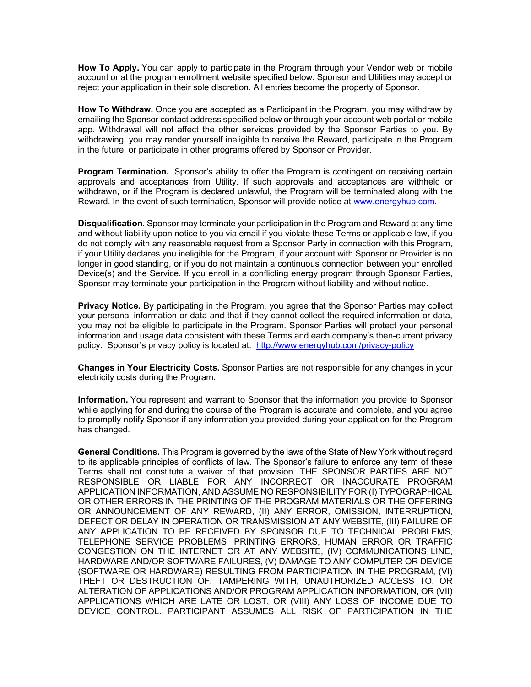**How To Apply.** You can apply to participate in the Program through your Vendor web or mobile account or at the program enrollment website specified below. Sponsor and Utilities may accept or reject your application in their sole discretion. All entries become the property of Sponsor.

**How To Withdraw.** Once you are accepted as a Participant in the Program, you may withdraw by emailing the Sponsor contact address specified below or through your account web portal or mobile app. Withdrawal will not affect the other services provided by the Sponsor Parties to you. By withdrawing, you may render yourself ineligible to receive the Reward, participate in the Program in the future, or participate in other programs offered by Sponsor or Provider.

**Program Termination.** Sponsor's ability to offer the Program is contingent on receiving certain approvals and acceptances from Utility. If such approvals and acceptances are withheld or withdrawn, or if the Program is declared unlawful, the Program will be terminated along with the Reward. In the event of such termination, Sponsor will provide notice at www.energyhub.com.

**Disqualification**. Sponsor may terminate your participation in the Program and Reward at any time and without liability upon notice to you via email if you violate these Terms or applicable law, if you do not comply with any reasonable request from a Sponsor Party in connection with this Program, if your Utility declares you ineligible for the Program, if your account with Sponsor or Provider is no longer in good standing, or if you do not maintain a continuous connection between your enrolled Device(s) and the Service. If you enroll in a conflicting energy program through Sponsor Parties, Sponsor may terminate your participation in the Program without liability and without notice.

**Privacy Notice.** By participating in the Program, you agree that the Sponsor Parties may collect your personal information or data and that if they cannot collect the required information or data, you may not be eligible to participate in the Program. Sponsor Parties will protect your personal information and usage data consistent with these Terms and each company's then-current privacy policy. Sponsor's privacy policy is located at: http://www.energyhub.com/privacy-policy

**Changes in Your Electricity Costs.** Sponsor Parties are not responsible for any changes in your electricity costs during the Program.

**Information.** You represent and warrant to Sponsor that the information you provide to Sponsor while applying for and during the course of the Program is accurate and complete, and you agree to promptly notify Sponsor if any information you provided during your application for the Program has changed.

**General Conditions.** This Program is governed by the laws of the State of New York without regard to its applicable principles of conflicts of law. The Sponsor's failure to enforce any term of these Terms shall not constitute a waiver of that provision. THE SPONSOR PARTIES ARE NOT RESPONSIBLE OR LIABLE FOR ANY INCORRECT OR INACCURATE PROGRAM APPLICATION INFORMATION, AND ASSUME NO RESPONSIBILITY FOR (I) TYPOGRAPHICAL OR OTHER ERRORS IN THE PRINTING OF THE PROGRAM MATERIALS OR THE OFFERING OR ANNOUNCEMENT OF ANY REWARD, (II) ANY ERROR, OMISSION, INTERRUPTION, DEFECT OR DELAY IN OPERATION OR TRANSMISSION AT ANY WEBSITE, (III) FAILURE OF ANY APPLICATION TO BE RECEIVED BY SPONSOR DUE TO TECHNICAL PROBLEMS, TELEPHONE SERVICE PROBLEMS, PRINTING ERRORS, HUMAN ERROR OR TRAFFIC CONGESTION ON THE INTERNET OR AT ANY WEBSITE, (IV) COMMUNICATIONS LINE, HARDWARE AND/OR SOFTWARE FAILURES, (V) DAMAGE TO ANY COMPUTER OR DEVICE (SOFTWARE OR HARDWARE) RESULTING FROM PARTICIPATION IN THE PROGRAM, (VI) THEFT OR DESTRUCTION OF, TAMPERING WITH, UNAUTHORIZED ACCESS TO, OR ALTERATION OF APPLICATIONS AND/OR PROGRAM APPLICATION INFORMATION, OR (VII) APPLICATIONS WHICH ARE LATE OR LOST, OR (VIII) ANY LOSS OF INCOME DUE TO DEVICE CONTROL. PARTICIPANT ASSUMES ALL RISK OF PARTICIPATION IN THE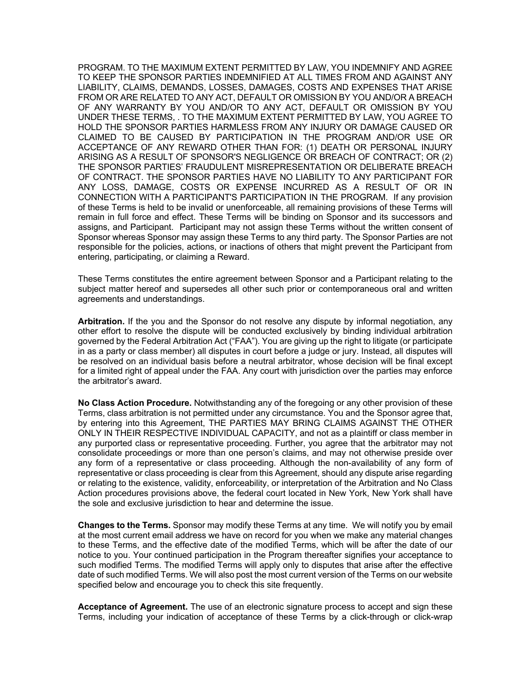PROGRAM. TO THE MAXIMUM EXTENT PERMITTED BY LAW, YOU INDEMNIFY AND AGREE TO KEEP THE SPONSOR PARTIES INDEMNIFIED AT ALL TIMES FROM AND AGAINST ANY LIABILITY, CLAIMS, DEMANDS, LOSSES, DAMAGES, COSTS AND EXPENSES THAT ARISE FROM OR ARE RELATED TO ANY ACT, DEFAULT OR OMISSION BY YOU AND/OR A BREACH OF ANY WARRANTY BY YOU AND/OR TO ANY ACT, DEFAULT OR OMISSION BY YOU UNDER THESE TERMS, . TO THE MAXIMUM EXTENT PERMITTED BY LAW, YOU AGREE TO HOLD THE SPONSOR PARTIES HARMLESS FROM ANY INJURY OR DAMAGE CAUSED OR CLAIMED TO BE CAUSED BY PARTICIPATION IN THE PROGRAM AND/OR USE OR ACCEPTANCE OF ANY REWARD OTHER THAN FOR: (1) DEATH OR PERSONAL INJURY ARISING AS A RESULT OF SPONSOR'S NEGLIGENCE OR BREACH OF CONTRACT; OR (2) THE SPONSOR PARTIES' FRAUDULENT MISREPRESENTATION OR DELIBERATE BREACH OF CONTRACT. THE SPONSOR PARTIES HAVE NO LIABILITY TO ANY PARTICIPANT FOR ANY LOSS, DAMAGE, COSTS OR EXPENSE INCURRED AS A RESULT OF OR IN CONNECTION WITH A PARTICIPANT'S PARTICIPATION IN THE PROGRAM. If any provision of these Terms is held to be invalid or unenforceable, all remaining provisions of these Terms will remain in full force and effect. These Terms will be binding on Sponsor and its successors and assigns, and Participant. Participant may not assign these Terms without the written consent of Sponsor whereas Sponsor may assign these Terms to any third party. The Sponsor Parties are not responsible for the policies, actions, or inactions of others that might prevent the Participant from entering, participating, or claiming a Reward.

These Terms constitutes the entire agreement between Sponsor and a Participant relating to the subject matter hereof and supersedes all other such prior or contemporaneous oral and written agreements and understandings.

**Arbitration.** If the you and the Sponsor do not resolve any dispute by informal negotiation, any other effort to resolve the dispute will be conducted exclusively by binding individual arbitration governed by the Federal Arbitration Act ("FAA"). You are giving up the right to litigate (or participate in as a party or class member) all disputes in court before a judge or jury. Instead, all disputes will be resolved on an individual basis before a neutral arbitrator, whose decision will be final except for a limited right of appeal under the FAA. Any court with jurisdiction over the parties may enforce the arbitrator's award.

**No Class Action Procedure.** Notwithstanding any of the foregoing or any other provision of these Terms, class arbitration is not permitted under any circumstance. You and the Sponsor agree that, by entering into this Agreement, THE PARTIES MAY BRING CLAIMS AGAINST THE OTHER ONLY IN THEIR RESPECTIVE INDIVIDUAL CAPACITY, and not as a plaintiff or class member in any purported class or representative proceeding. Further, you agree that the arbitrator may not consolidate proceedings or more than one person's claims, and may not otherwise preside over any form of a representative or class proceeding. Although the non-availability of any form of representative or class proceeding is clear from this Agreement, should any dispute arise regarding or relating to the existence, validity, enforceability, or interpretation of the Arbitration and No Class Action procedures provisions above, the federal court located in New York, New York shall have the sole and exclusive jurisdiction to hear and determine the issue.

**Changes to the Terms.** Sponsor may modify these Terms at any time. We will notify you by email at the most current email address we have on record for you when we make any material changes to these Terms, and the effective date of the modified Terms, which will be after the date of our notice to you. Your continued participation in the Program thereafter signifies your acceptance to such modified Terms. The modified Terms will apply only to disputes that arise after the effective date of such modified Terms. We will also post the most current version of the Terms on our website specified below and encourage you to check this site frequently.

**Acceptance of Agreement.** The use of an electronic signature process to accept and sign these Terms, including your indication of acceptance of these Terms by a click-through or click-wrap